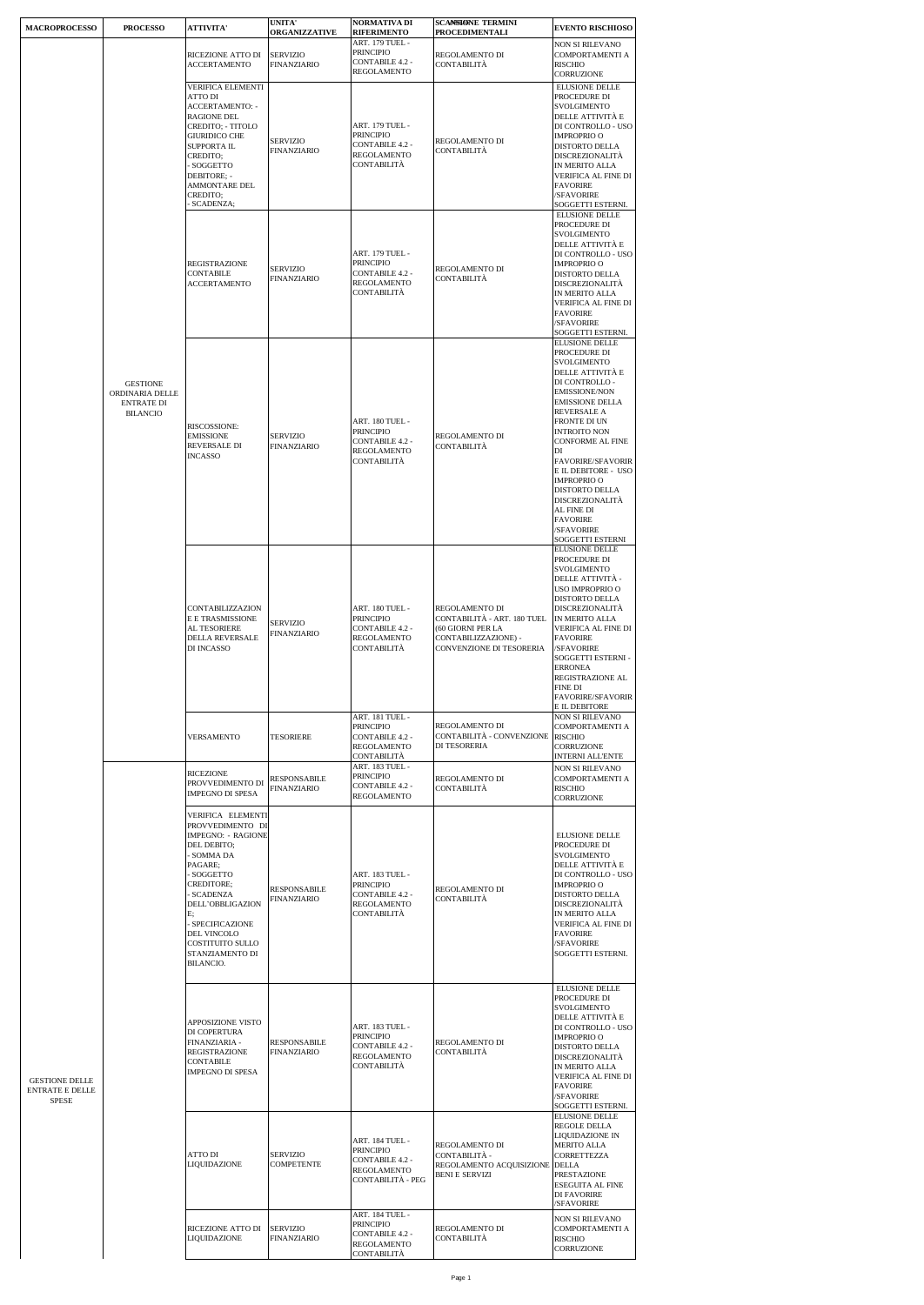| <b>MACROPROCESSO</b>                              | <b>PROCESSO</b>                                                            | <b>ATTIVITA'</b>                                                                                                                                                                                                                                                         | <b>UNITA'</b><br><b>ORGANIZZATIVE</b> | <b>NORMATIVA DI</b><br><b>RIFERIMENTO</b>                                                                             | <b>SCANSIONE TERMINI</b><br>PROCEDIMENTALI                                                                             | <b>EVENTO RISCHIOSO</b>                                                                                                                                                                                                                                                                                                                                                                                       |
|---------------------------------------------------|----------------------------------------------------------------------------|--------------------------------------------------------------------------------------------------------------------------------------------------------------------------------------------------------------------------------------------------------------------------|---------------------------------------|-----------------------------------------------------------------------------------------------------------------------|------------------------------------------------------------------------------------------------------------------------|---------------------------------------------------------------------------------------------------------------------------------------------------------------------------------------------------------------------------------------------------------------------------------------------------------------------------------------------------------------------------------------------------------------|
|                                                   |                                                                            | RICEZIONE ATTO DI<br><b>ACCERTAMENTO</b>                                                                                                                                                                                                                                 | <b>SERVIZIO</b><br><b>FINANZIARIO</b> | ART. 179 TUEL -<br><b>PRINCIPIO</b><br><b>CONTABILE 4.2 -</b><br><b>REGOLAMENTO</b>                                   | REGOLAMENTO DI<br>CONTABILITÀ                                                                                          | NON SI RILEVANO<br>COMPORTAMENTI A<br><b>RISCHIO</b><br>CORRUZIONE                                                                                                                                                                                                                                                                                                                                            |
|                                                   |                                                                            | <b>VERIFICA ELEMENTI</b><br><b>ATTO DI</b><br><b>ACCERTAMENTO: -</b><br>RAGIONE DEL<br>CREDITO; - TITOLO<br><b>GIURIDICO CHE</b><br>SUPPORTA IL<br>CREDITO;<br>SOGGETTO<br>DEBITORE: -<br>AMMONTARE DEL<br>CREDITO;<br>SCADENZA;                                         | <b>SERVIZIO</b><br>FINANZIARIO        | ART. 179 TUEL -<br><b>PRINCIPIO</b><br><b>CONTABILE 4.2 -</b><br>REGOLAMENTO<br>CONTABILITÀ                           | REGOLAMENTO DI<br>CONTABILITÀ                                                                                          | <b>ELUSIONE DELLE</b><br>PROCEDURE DI<br>SVOLGIMENTO<br>DELLE ATTIVITÀ E<br>DI CONTROLLO - USO<br><b>IMPROPRIO O</b><br>DISTORTO DELLA<br>DISCREZIONALITA<br>IN MERITO ALLA<br>VERIFICA AL FINE DI<br><b>FAVORIRE</b><br>/SFAVORIRE<br>SOGGETTI ESTERNI.                                                                                                                                                      |
|                                                   |                                                                            | <b>REGISTRAZIONE</b><br><b>CONTABILE</b><br><b>ACCERTAMENTO</b>                                                                                                                                                                                                          | <b>SERVIZIO</b><br>FINANZIARIO        | ART. 179 TUEL -<br><b>PRINCIPIO</b><br><b>CONTABILE 4.2 -</b><br>REGOLAMENTO<br>CONTABILITÀ                           | REGOLAMENTO DI<br><b>CONTABILITÀ</b>                                                                                   | <b>ELUSIONE DELLE</b><br>PROCEDURE DI<br>SVOLGIMENTO<br>DELLE ATTIVITA E<br>DI CONTROLLO - USO<br><b>IMPROPRIO O</b><br>DISTORTO DELLA<br>DISCREZIONALITÀ<br>IN MERITO ALLA<br>VERIFICA AL FINE DI<br><b>FAVORIRE</b><br>/SFAVORIRE<br>SOGGETTI ESTERNI.                                                                                                                                                      |
|                                                   | <b>GESTIONE</b><br>ORDINARIA DELLE<br><b>ENTRATE DI</b><br><b>BILANCIO</b> | RISCOSSIONE:<br><b>EMISSIONE</b><br>REVERSALE DI<br><b>INCASSO</b>                                                                                                                                                                                                       | <b>SERVIZIO</b><br>FINANZIARIO        | ART. 180 TUEL -<br><b>PRINCIPIO</b><br><b>CONTABILE 4.2 -</b><br>REGOLAMENTO<br>CONTABILITÀ                           | REGOLAMENTO DI<br>CONTABILITÀ                                                                                          | <b>ELUSIONE DELLE</b><br>PROCEDURE DI<br>SVOLGIMENTO<br>DELLE ATTIVITÀ E<br>DI CONTROLLO -<br><b>EMISSIONE/NON</b><br><b>EMISSIONE DELLA</b><br>REVERSALE A<br><b>FRONTE DI UN</b><br><b>INTROITO NON</b><br>CONFORME AL FINE<br>DI<br>FAVORIRE/SFAVORIR<br>E IL DEBITORE - USO<br><b>IMPROPRIO O</b><br>DISTORTO DELLA<br>DISCREZIONALITÀ<br>AL FINE DI<br><b>FAVORIRE</b><br>/SFAVORIRE<br>SOGGETTI ESTERNI |
|                                                   |                                                                            | CONTABILIZZAZION<br>E E TRASMISSIONE<br>AL TESORIERE<br><b>DELLA REVERSALE</b><br>DI INCASSO                                                                                                                                                                             | <b>SERVIZIO</b><br><b>FINANZIARIO</b> | ART. 180 TUEL -<br><b>PRINCIPIO</b><br><b>CONTABILE 4.2 -</b><br>REGOLAMENTO<br>CONTABILITÀ                           | REGOLAMENTO DI<br>CONTABILITÀ - ART. 180 TUEL<br>(60 GIORNI PER LA<br>CONTABILIZZAZIONE) -<br>CONVENZIONE DI TESORERIA | <b>ELUSIONE DELLE</b><br>PROCEDURE DI<br>SVOLGIMENTO<br>DELLE ATTIVITÀ -<br>USO IMPROPRIO O<br>DISTORTO DELLA<br>DISCREZIONALITÀ<br>IN MERITO ALLA<br>VERIFICA AL FINE DI<br><b>FAVORIRE</b><br>/SFAVORIRE<br>SOGGETTI ESTERNI -<br><b>ERRONEA</b><br>REGISTRAZIONE AL<br>FINE DI<br>FAVORIRE/SFAVORIR<br>E IL DEBITORE                                                                                       |
|                                                   |                                                                            | VERSAMENTO                                                                                                                                                                                                                                                               | <b>TESORIERE</b>                      | ART. 181 TUEL -<br><b>PRINCIPIO</b><br><b>CONTABILE 4.2 -</b><br>REGOLAMENTO<br><b>CONTABILITÀ</b><br>ART. 183 TUEL - | REGOLAMENTO DI<br>CONTABILITÀ - CONVENZIONE RISCHIO<br>DI TESORERIA                                                    | NON SI RILEVANO<br>COMPORTAMENTI A<br>CORRUZIONE<br>INTERNI ALL'ENTE<br><b>NON SI RILEVANO</b>                                                                                                                                                                                                                                                                                                                |
|                                                   |                                                                            | RICEZIONE<br>PROVVEDIMENTO DI<br>IMPEGNO DI SPESA                                                                                                                                                                                                                        | RESPONSABILE<br>FINANZIARIO           | <b>PRINCIPIO</b><br><b>CONTABILE 4.2 -</b><br><b>REGOLAMENTO</b>                                                      | REGOLAMENTO DI<br>CONTABILITÀ                                                                                          | COMPORTAMENTI A<br><b>RISCHIO</b><br>CORRUZIONE                                                                                                                                                                                                                                                                                                                                                               |
|                                                   |                                                                            | VERIFICA ELEMENTI<br>PROVVEDIMENTO DI<br>IMPEGNO: - RAGIONE<br>DEL DEBITO:<br>- SOMMA DA<br>PAGARE;<br>SOGGETTO<br><b>CREDITORE:</b><br><b>SCADENZA</b><br>DELL'OBBLIGAZION<br>E:<br>- SPECIFICAZIONE<br>DEL VINCOLO<br>COSTITUITO SULLO<br>STANZIAMENTO DI<br>BILANCIO. | <b>RESPONSABILE</b><br>FINANZIARIO    | ART. 183 TUEL -<br><b>PRINCIPIO</b><br><b>CONTABILE 4.2 -</b><br>REGOLAMENTO<br>CONTABILITÀ                           | REGOLAMENTO DI<br>CONTABILITÀ                                                                                          | <b>ELUSIONE DELLE</b><br>PROCEDURE DI<br><b>SVOLGIMENTO</b><br>DELLE ATTIVITÀ E<br>DI CONTROLLO - USO<br><b>IMPROPRIO O</b><br>DISTORTO DELLA<br>DISCREZIONALITÀ<br>IN MERITO ALLA<br>VERIFICA AL FINE DI<br><b>FAVORIRE</b><br>/SFAVORIRE<br>SOGGETTI ESTERNI.                                                                                                                                               |
| <b>GESTIONE DELLE</b><br>ENTRATE E DELLE<br>SPESE |                                                                            | APPOSIZIONE VISTO<br>DI COPERTURA<br>FINANZIARIA -<br><b>REGISTRAZIONE</b><br><b>CONTABILE</b><br><b>IMPEGNO DI SPESA</b>                                                                                                                                                | <b>RESPONSABILE</b><br>FINANZIARIO    | ART. 183 TUEL -<br><b>PRINCIPIO</b><br><b>CONTABILE 4.2 -</b><br>REGOLAMENTO<br>CONTABILITÀ                           | REGOLAMENTO DI<br><b>CONTABILITÀ</b>                                                                                   | <b>ELUSIONE DELLE</b><br>PROCEDURE DI<br>SVOLGIMENTO<br>DELLE ATTIVITÀ E<br>DI CONTROLLO - USO<br><b>IMPROPRIO O</b><br>DISTORTO DELLA<br>DISCREZIONALITÀ<br>IN MERITO ALLA<br>VERIFICA AL FINE DI<br><b>FAVORIRE</b><br>/SFAVORIRE<br>SOGGETTI ESTERNI.                                                                                                                                                      |
|                                                   |                                                                            | ATTO DI<br>LIQUIDAZIONE                                                                                                                                                                                                                                                  | <b>SERVIZIO</b><br>COMPETENTE         | ART. 184 TUEL -<br><b>PRINCIPIO</b><br><b>CONTABILE 4.2 -</b><br>REGOLAMENTO<br>CONTABILITÀ - PEG                     | REGOLAMENTO DI<br>CONTABILITÀ -<br>REGOLAMENTO ACQUISIZIONE DELLA<br><b>BENI E SERVIZI</b>                             | <b>ELUSIONE DELLE</b><br>REGOLE DELLA<br>LIQUIDAZIONE IN<br>MERITO ALLA<br>CORRETTEZZA<br>PRESTAZIONE<br>ESEGUITA AL FINE<br>DI FAVORIRE<br>/SFAVORIRE                                                                                                                                                                                                                                                        |
|                                                   |                                                                            | RICEZIONE ATTO DI<br>LIQUIDAZIONE                                                                                                                                                                                                                                        | <b>SERVIZIO</b><br><b>FINANZIARIO</b> | ART. 184 TUEL -<br><b>PRINCIPIO</b><br><b>CONTABILE 4.2 -</b><br>REGOLAMENTO<br>CONTABILITÀ                           | REGOLAMENTO DI<br>CONTABILITÀ                                                                                          | <b>NON SI RILEVANO</b><br>COMPORTAMENTI A<br>RISCHIO<br>CORRUZIONE                                                                                                                                                                                                                                                                                                                                            |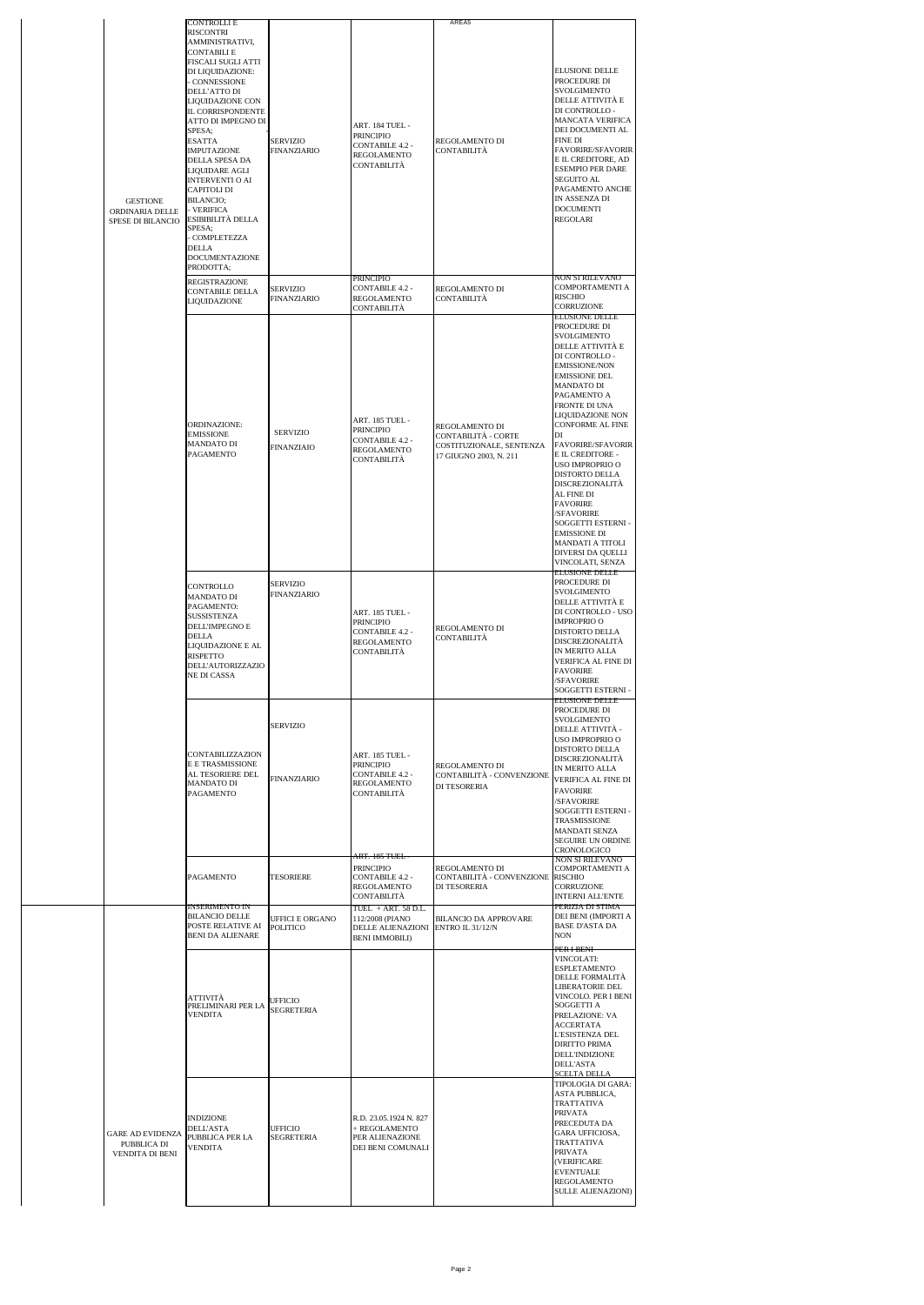| <b>GESTIONE</b><br>ORDINARIA DELLE<br>SPESE DI BILANCIO   | <b>CONTROLLIE</b><br>RISCONTRI<br>AMMINISTRATIVI,<br><b>CONTABILI E</b><br>FISCALI SUGLI ATTI<br>DI LIQUIDAZIONE:<br>- CONNESSIONE<br>DELL'ATTO DI<br>LIQUIDAZIONE CON<br>IL CORRISPONDENTE<br>ATTO DI IMPEGNO DI<br>SPESA;<br><b>ESATTA</b><br>IMPUTAZIONE<br>DELLA SPESA DA<br>LIQUIDARE AGLI<br><b>INTERVENTI O AI</b><br>CAPITOLI DI<br>BILANCIO;<br>- VERIFICA<br>ESIBIBILITÀ DELLA<br>SPESA;<br>- COMPLETEZZA<br>DELLA<br>DOCUMENTAZIONE<br>PRODOTTA; | SERVIZIO<br>FINANZIARIO                   | ART. 184 TUEL -<br>PRINCIPIO<br>CONTABILE 4.2 -<br>REGOLAMENTO<br>CONTABILITÀ                                               | AREA5<br>REGOLAMENTO DI<br>CONTABILITÀ                                                      | <b>ELUSIONE DELLE</b><br>PROCEDURE DI<br>SVOLGIMENTO<br>DELLE ATTIVITÀ E<br>DI CONTROLLO-<br>MANCATA VERIFICA<br>DEI DOCUMENTI AL<br><b>FINE DI</b><br><b>FAVORIRE/SFAVORIR</b><br>E IL CREDITORE, AD<br><b>ESEMPIO PER DARE</b><br>SEGUITO AL<br>PAGAMENTO ANCHE<br>IN ASSENZA DI<br><b>DOCUMENTI</b><br><b>REGOLARI</b>                                                                                                                                                                              |
|-----------------------------------------------------------|-------------------------------------------------------------------------------------------------------------------------------------------------------------------------------------------------------------------------------------------------------------------------------------------------------------------------------------------------------------------------------------------------------------------------------------------------------------|-------------------------------------------|-----------------------------------------------------------------------------------------------------------------------------|---------------------------------------------------------------------------------------------|--------------------------------------------------------------------------------------------------------------------------------------------------------------------------------------------------------------------------------------------------------------------------------------------------------------------------------------------------------------------------------------------------------------------------------------------------------------------------------------------------------|
|                                                           | <b>REGISTRAZIONE</b><br>CONTABILE DELLA<br>LIQUIDAZIONE                                                                                                                                                                                                                                                                                                                                                                                                     | SERVIZIO<br><b>FINANZIARIO</b>            | PRINCIPIO<br>CONTABILE 4.2 -<br>REGOLAMENTO<br>CONTABILITÀ                                                                  | REGOLAMENTO DI<br>CONTABILITÀ                                                               | NON SI RILEVANO<br>COMPORTAMENTI A<br>RISCHIO<br>CORRUZIONE                                                                                                                                                                                                                                                                                                                                                                                                                                            |
|                                                           | ORDINAZIONE:<br><b>EMISSIONE</b><br><b>MANDATO DI</b><br>PAGAMENTO                                                                                                                                                                                                                                                                                                                                                                                          | <b>SERVIZIO</b><br>FINANZIAIO             | ART. 185 TUEL -<br>PRINCIPIO<br><b>CONTABILE 4.2 -</b><br><b>REGOLAMENTO</b><br>CONTABILITÀ                                 | REGOLAMENTO DI<br>CONTABILITA - CORTE<br>COSTITUZIONALE, SENTENZA<br>17 GIUGNO 2003, N. 211 | <b>ELUSIONE DELLE</b><br>PROCEDURE DI<br>SVOLGIMENTO<br>DELLE ATTIVITÀ E<br>DI CONTROLLO-<br><b>EMISSIONE/NON</b><br><b>EMISSIONE DEL</b><br>MANDATO DI<br>PAGAMENTO A<br>FRONTE DI UNA<br>LIQUIDAZIONE NON<br>CONFORME AL FINE<br>DI<br><b>FAVORIRE/SFAVORIR</b><br>E IL CREDITORE -<br>USO IMPROPRIO O<br>DISTORTO DELLA<br>DISCREZIONALITÀ<br>AL FINE DI<br><b>FAVORIRE</b><br>/SFAVORIRE<br>SOGGETTI ESTERNI -<br><b>EMISSIONE DI</b><br>MANDATI A TITOLI<br>DIVERSI DA QUELLI<br>VINCOLATI, SENZA |
|                                                           | CONTROLLO<br><b>MANDATO DI</b><br>PAGAMENTO:<br><b>SUSSISTENZA</b><br>DELL'IMPEGNO E<br>DELLA<br>LIQUIDAZIONE E AL<br>RISPETTO<br>DELL'AUTORIZZAZIO<br>NE DI CASSA                                                                                                                                                                                                                                                                                          | <b>SERVIZIO</b><br>FINANZIARIO            | ART. 185 TUEL -<br>PRINCIPIO<br>CONTABILE 4.2 -<br><b>REGOLAMENTO</b><br>CONTABILITÀ                                        | REGOLAMENTO DI<br>CONTABILITÀ                                                               | <b>ELUSIONE DELLE</b><br>PROCEDURE DI<br>SVOLGIMENTO<br>DELLE ATTIVITÀ E<br>DI CONTROLLO - USO<br><b>IMPROPRIO O</b><br><b>DISTORTO DELLA</b><br>DISCREZIONALITÀ<br>IN MERITO ALLA<br>VERIFICA AL FINE DI<br><b>FAVORIRE</b><br>/SFAVORIRE<br>SOGGETTI ESTERNI -                                                                                                                                                                                                                                       |
|                                                           | CONTABILIZZAZION<br>E E TRASMISSIONE<br>AL TESORIERE DEL<br><b>MANDATO DI</b><br>PAGAMENTO                                                                                                                                                                                                                                                                                                                                                                  | SERVIZIO<br><b>FINANZIARIO</b>            | ART. 185 TUEL -<br><b>PRINCIPIO</b><br>CONTABILE 4.2 -<br>REGOLAMENTO<br>CONTABILITÀ                                        | REGOLAMENTO DI<br>CONTABILITÀ - CONVENZIONE<br>DI TESORERIA                                 | <b>ELUSIONE DELLE</b><br>PROCEDURE DI<br>SVOLGIMENTO<br>DELLE ATTIVITÀ -<br>USO IMPROPRIO O<br>DISTORTO DELLA<br><b>DISCREZIONALITÀ</b><br>IN MERITO ALLA<br>VERIFICA AL FINE DI<br><b>FAVORIRE</b><br>/SFAVORIRE<br>SOGGETTI ESTERNI -<br><b>TRASMISSIONE</b><br><b>MANDATI SENZA</b><br>SEGUIRE UN ORDINE<br>CRONOLOGICO                                                                                                                                                                             |
|                                                           | <b>PAGAMENTO</b><br><u>INSERIMENTO IN</u>                                                                                                                                                                                                                                                                                                                                                                                                                   | <b>TESORIERE</b>                          | <del>ART. 185 TUEL</del><br><b>PRINCIPIO</b><br><b>CONTABILE 4.2 -</b><br>REGOLAMENTO<br>CONTABILITA<br>TUEL + ART. 58 D.L. | REGOLAMENTO DI<br>CONTABILITÀ - CONVENZIONE<br>DI TESORERIA                                 | NON SI RILEVANO<br><b>COMPORTAMENTI A</b><br><b>RISCHIO</b><br>CORRUZIONE<br><b>INTERNI ALL'ENTE</b><br>PERIZIA DI STIMA                                                                                                                                                                                                                                                                                                                                                                               |
|                                                           | <b>BILANCIO DELLE</b><br>POSTE RELATIVE AI<br>BENI DA ALIENARE                                                                                                                                                                                                                                                                                                                                                                                              | <b>UFFICI E ORGANO</b><br><b>POLITICO</b> | 112/2008 (PIANO<br>DELLE ALIENAZIONI<br><b>BENI IMMOBILI)</b>                                                               | <b>BILANCIO DA APPROVARE</b><br><b>ENTRO IL 31/12/N</b>                                     | DEI BENI (IMPORTI A<br><b>BASE D'ASTA DA</b><br><b>NON</b>                                                                                                                                                                                                                                                                                                                                                                                                                                             |
|                                                           | ATTIVITÀ<br>PRELIMINARI PER LA<br><b>VENDITA</b>                                                                                                                                                                                                                                                                                                                                                                                                            | <b>UFFICIO</b><br><b>SEGRETERIA</b>       |                                                                                                                             |                                                                                             | PER I BENI-<br><b>VINCOLATI:</b><br><b>ESPLETAMENTO</b><br>DELLE FORMALITÀ<br>LIBERATORIE DEL<br>VINCOLO. PER I BENI<br>SOGGETTI A<br>PRELAZIONE: VA<br><b>ACCERTATA</b><br><b>L'ESISTENZA DEL</b><br><b>DIRITTO PRIMA</b><br>DELL'INDIZIONE<br><b>DELL'ASTA</b><br><u>SCELTA DELLA</u>                                                                                                                                                                                                                |
| <b>GARE AD EVIDENZA</b><br>PUBBLICA DI<br>VENDITA DI BENI | <b>INDIZIONE</b><br>DELL'ASTA<br>PUBBLICA PER LA<br>VENDITA                                                                                                                                                                                                                                                                                                                                                                                                 | UFFICIO<br><b>SEGRETERIA</b>              | R.D. 23.05.1924 N. 827<br>+ REGOLAMENTO<br>PER ALIENAZIONE<br>DEI BENI COMUNALI                                             |                                                                                             | TIPOLOGIA DI GARA:<br>ASTA PUBBLICA,<br>TRATTATIVA<br>PRIVATA<br>PRECEDUTA DA<br>GARA UFFICIOSA,<br><b>TRATTATIVA</b><br><b>PRIVATA</b><br>(VERIFICARE<br><b>EVENTUALE</b><br><b>REGOLAMENTO</b><br>SULLE ALIENAZIONI)                                                                                                                                                                                                                                                                                 |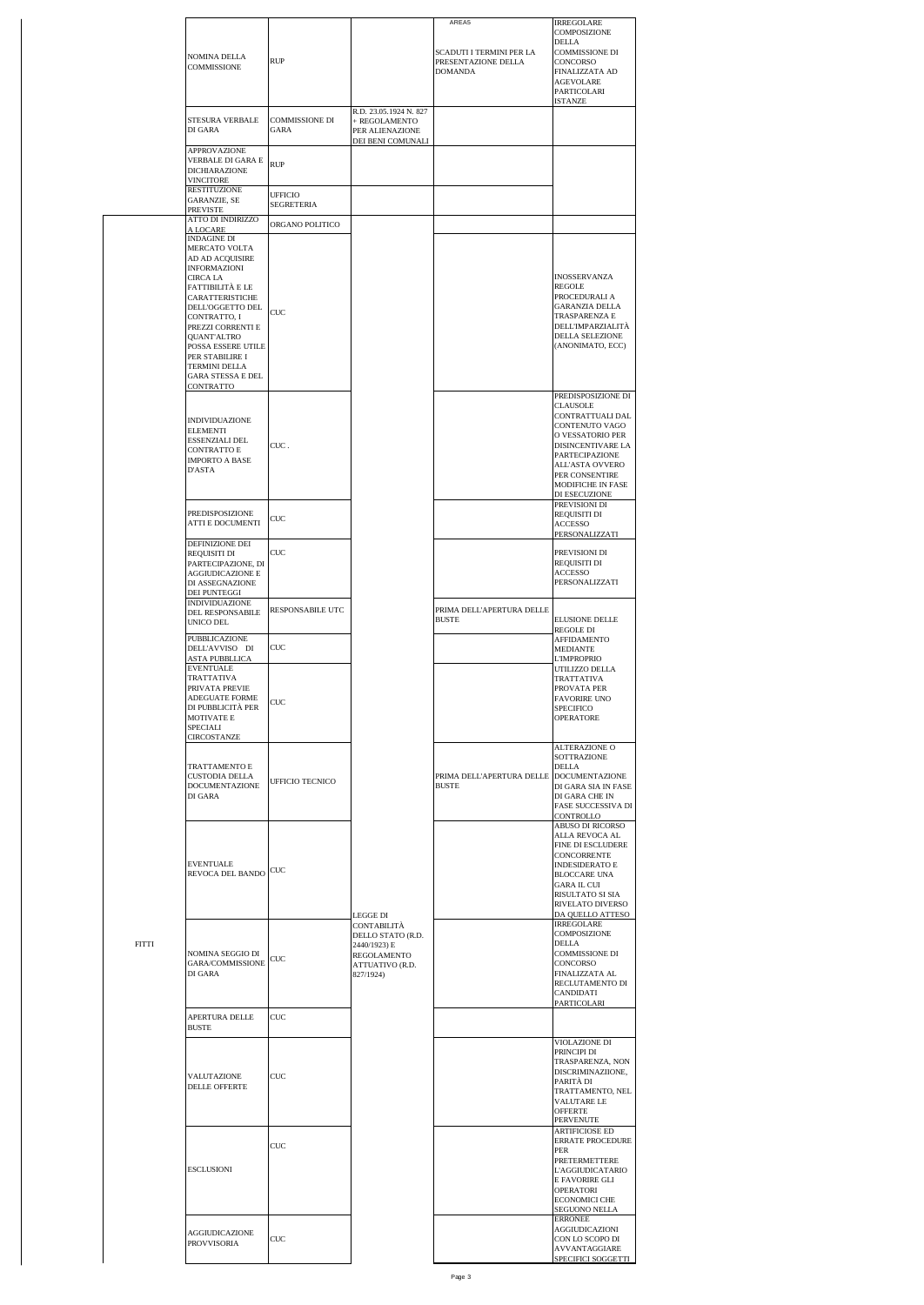|              | NOMINA DELLA<br>COMMISSIONE                                                                                                                                                                                                                                                                                             | <b>RUP</b>                         |                                                                                                             | AREA5<br>SCADUTI I TERMINI PER LA<br>PRESENTAZIONE DELLA<br><b>DOMANDA</b> | <b>IRREGOLARE</b><br>COMPOSIZIONE<br><b>DELLA</b><br>COMMISSIONE DI<br>CONCORSO<br><b>FINALIZZATA AD</b><br>AGEVOLARE<br>PARTICOLARI                                                                                                      |
|--------------|-------------------------------------------------------------------------------------------------------------------------------------------------------------------------------------------------------------------------------------------------------------------------------------------------------------------------|------------------------------------|-------------------------------------------------------------------------------------------------------------|----------------------------------------------------------------------------|-------------------------------------------------------------------------------------------------------------------------------------------------------------------------------------------------------------------------------------------|
|              | STESURA VERBALE<br>DI GARA                                                                                                                                                                                                                                                                                              | <b>COMMISSIONE DI</b><br>GARA      | R.D. 23.05.1924 N. 827<br>+ REGOLAMENTO<br>PER ALIENAZIONE                                                  |                                                                            | <b>ISTANZE</b>                                                                                                                                                                                                                            |
|              | <b>APPROVAZIONE</b><br>VERBALE DI GARA E<br>DICHIARAZIONE<br>VINCITORE<br><b>RESTITUZIONE</b>                                                                                                                                                                                                                           | <b>RUP</b><br><b>UFFICIO</b>       | DEI BENI COMUNALI                                                                                           |                                                                            |                                                                                                                                                                                                                                           |
|              | GARANZIE, SE<br>PREVISTE<br>ATTO DI INDIRIZZO                                                                                                                                                                                                                                                                           | <b>SEGRETERIA</b>                  |                                                                                                             |                                                                            |                                                                                                                                                                                                                                           |
|              | A LOCARE<br><b>INDAGINE DI</b><br>MERCATO VOLTA<br>AD AD ACQUISIRE<br><b>INFORMAZIONI</b><br>CIRCA LA<br>FATTIBILITÀ E LE<br>CARATTERISTICHE<br>DELL'OGGETTO DEL<br>CONTRATTO, I<br>PREZZI CORRENTI E<br>QUANT'ALTRO<br>POSSA ESSERE UTILE<br>PER STABILIRE I<br>TERMINI DELLA<br><b>GARA STESSA E DEL</b><br>CONTRATTO | ORGANO POLITICO<br>$_{\text{CUC}}$ |                                                                                                             |                                                                            | INOSSERVANZA<br><b>REGOLE</b><br>PROCEDURALI A<br><b>GARANZIA DELLA</b><br>TRASPARENZA E<br>DELL'IMPARZIALITÀ<br>DELLA SELEZIONE<br>(ANONIMATO, ECC)                                                                                      |
|              | <b>INDIVIDUAZIONE</b><br><b>ELEMENTI</b><br>ESSENZIALI DEL<br>CONTRATTO E<br><b>IMPORTO A BASE</b><br>D'ASTA                                                                                                                                                                                                            | CUC.                               |                                                                                                             |                                                                            | PREDISPOSIZIONE DI<br><b>CLAUSOLE</b><br>CONTRATTUALI DAL<br><b>CONTENUTO VAGO</b><br>O VESSATORIO PER<br>DISINCENTIVARE LA<br>PARTECIPAZIONE<br>ALL'ASTA OVVERO<br>PER CONSENTIRE<br>MODIFICHE IN FASE<br>DI ESECUZIONE<br>PREVISIONI DI |
|              | PREDISPOSIZIONE<br>ATTI E DOCUMENTI                                                                                                                                                                                                                                                                                     | CUC                                |                                                                                                             |                                                                            | REQUISITI DI<br>ACCESSO<br>PERSONALIZZATI                                                                                                                                                                                                 |
|              | DEFINIZIONE DEI<br>REQUISITI DI<br>PARTECIPAZIONE, DI<br>AGGIUDICAZIONE E<br>DI ASSEGNAZIONE<br>DEI PUNTEGGI                                                                                                                                                                                                            | CUC                                |                                                                                                             |                                                                            | PREVISIONI DI<br>REQUISITI DI<br><b>ACCESSO</b><br>PERSONALIZZATI                                                                                                                                                                         |
|              | INDIVIDUAZIONE<br>DEL RESPONSABILE<br>UNICO DEL                                                                                                                                                                                                                                                                         | RESPONSABILE UTC                   |                                                                                                             | PRIMA DELL'APERTURA DELLE<br><b>BUSTE</b>                                  | ELUSIONE DELLE<br><b>REGOLE DI</b>                                                                                                                                                                                                        |
|              | PUBBLICAZIONE<br>DELL'AVVISO DI<br>ASTA PUBBLLICA                                                                                                                                                                                                                                                                       | CUC                                |                                                                                                             |                                                                            | AFFIDAMENTO<br>MEDIANTE<br><b>L'IMPROPRIO</b>                                                                                                                                                                                             |
|              | <b>EVENTUALE</b><br><b>TRATTATIVA</b><br>PRIVATA PREVIE<br>ADEGUATE FORME<br>DI PUBBLICITÀ PER<br>MOTIVATE E<br>SPECIALI<br>CIRCOSTANZE                                                                                                                                                                                 | CUC                                |                                                                                                             |                                                                            | UTILIZZO DELLA<br><b>TRATTATIVA</b><br>PROVATA PER<br><b>FAVORIRE UNO</b><br><b>SPECIFICO</b><br><b>OPERATORE</b>                                                                                                                         |
|              | TRATTAMENTO E<br><b>CUSTODIA DELLA</b><br><b>DOCUMENTAZIONE</b><br>DI GARA                                                                                                                                                                                                                                              | <b>UFFICIO TECNICO</b>             |                                                                                                             | PRIMA DELL'APERTURA DELLE<br><b>BUSTE</b>                                  | <b>ALTERAZIONE O</b><br>SOTTRAZIONE<br><b>DELLA</b><br><b>DOCUMENTAZIONE</b><br>DI GARA SIA IN FASE<br>DI GARA CHE IN<br><b>FASE SUCCESSIVA DI</b><br>CONTROLLO                                                                           |
|              | <b>EVENTUALE</b><br>REVOCA DEL BANDO                                                                                                                                                                                                                                                                                    | CUC                                |                                                                                                             |                                                                            | ABUSO DI RICORSO<br>ALLA REVOCA AL<br>FINE DI ESCLUDERE<br>CONCORRENTE<br><b>INDESIDERATO E</b><br><b>BLOCCARE UNA</b><br><b>GARA IL CUI</b><br>RISULTATO SI SIA<br>RIVELATO DIVERSO                                                      |
| <b>FITTI</b> | NOMINA SEGGIO DI<br>GARA/COMMISSIONE<br>DI GARA                                                                                                                                                                                                                                                                         | CUC                                | LEGGE DI<br>CONTABILITÀ<br>DELLO STATO (R.D.<br>2440/1923) E<br>REGOLAMENTO<br>ATTUATIVO (R.D.<br>827/1924) |                                                                            | DA QUELLO ATTESO<br><b>IRREGOLARE</b><br>COMPOSIZIONE<br><b>DELLA</b><br><b>COMMISSIONE DI</b><br>CONCORSO<br>FINALIZZATA AL<br>RECLUTAMENTO DI<br>CANDIDATI<br>PARTICOLARI                                                               |
|              | APERTURA DELLE<br><b>BUSTE</b>                                                                                                                                                                                                                                                                                          | CUC                                |                                                                                                             |                                                                            |                                                                                                                                                                                                                                           |
|              | VALUTAZIONE<br>DELLE OFFERTE                                                                                                                                                                                                                                                                                            | <b>CUC</b>                         |                                                                                                             |                                                                            | VIOLAZIONE DI<br>PRINCIPI DI<br>TRASPARENZA, NON<br>DISCRIMINAZIIONE,<br>PARITÀ DI<br>TRATTAMENTO, NEL<br>VALUTARE LE<br><b>OFFERTE</b><br>PERVENUTE                                                                                      |
|              | <b>ESCLUSIONI</b>                                                                                                                                                                                                                                                                                                       | CUC                                |                                                                                                             |                                                                            | <b>ARTIFICIOSE ED</b><br>ERRATE PROCEDURE<br>PER<br>PRETERMETTERE<br>L'AGGIUDICATARIO<br>E FAVORIRE GLI<br><b>OPERATORI</b><br>ECONOMICI CHE<br>SEGUONO NELLA                                                                             |
|              | AGGIUDICAZIONE<br><b>PROVVISORIA</b>                                                                                                                                                                                                                                                                                    | CUC                                |                                                                                                             |                                                                            | <b>ERRONEE</b><br>AGGIUDICAZIONI<br>CON LO SCOPO DI<br><b>AVVANTAGGIARE</b><br>SPECIFICI SOGGETTI                                                                                                                                         |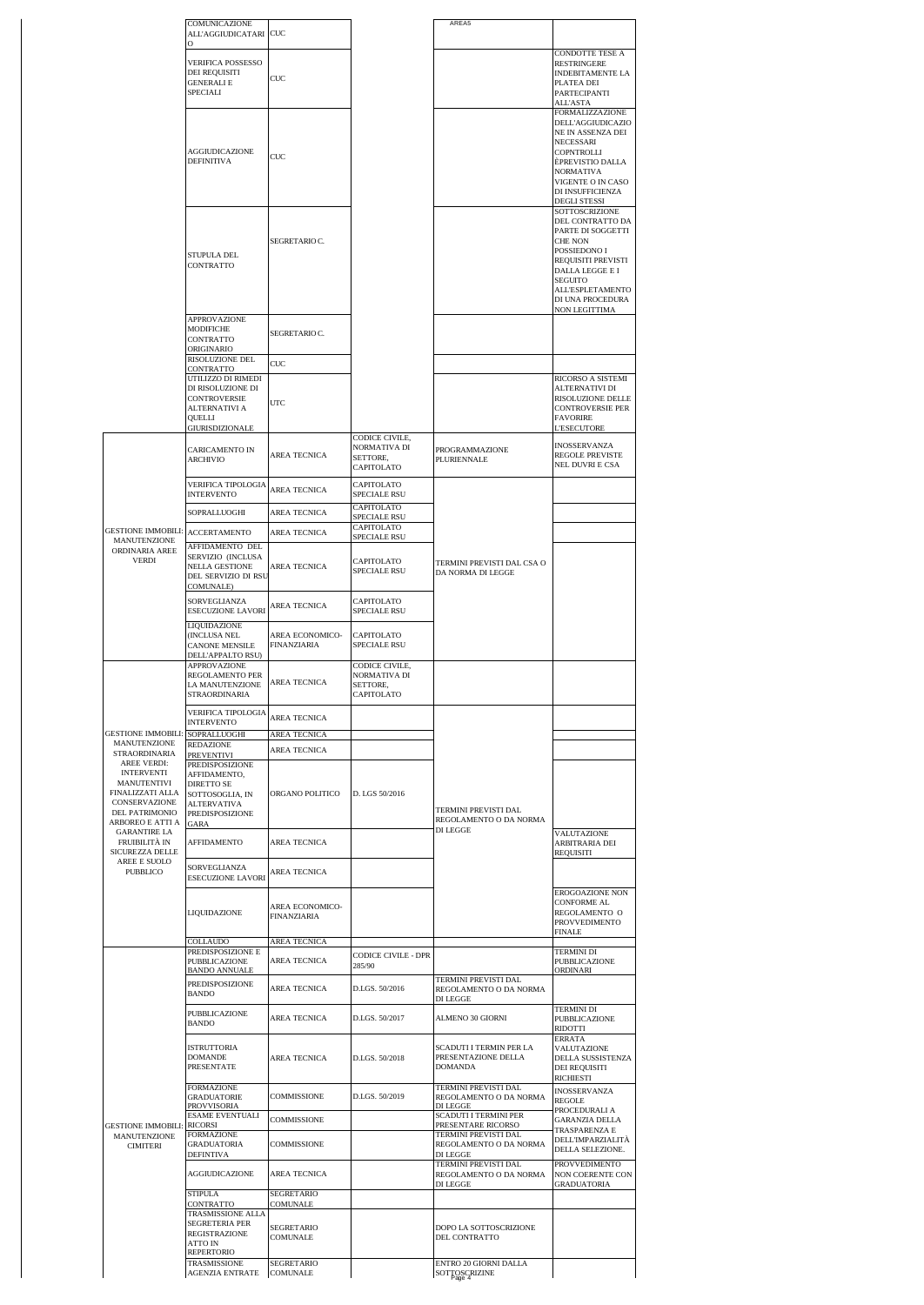|                                                                                         | COMUNICAZIONE<br>ALL'AGGIUDICATARI CUC                                                                     |                                       |                                                          | AREA5                                                                               |                                                                                                                                                                                                                                      |
|-----------------------------------------------------------------------------------------|------------------------------------------------------------------------------------------------------------|---------------------------------------|----------------------------------------------------------|-------------------------------------------------------------------------------------|--------------------------------------------------------------------------------------------------------------------------------------------------------------------------------------------------------------------------------------|
|                                                                                         |                                                                                                            |                                       |                                                          |                                                                                     | <b>CONDOTTE TESE A</b>                                                                                                                                                                                                               |
|                                                                                         | VERIFICA POSSESSO<br>DEI REQUISITI<br><b>GENERALI E</b><br>SPECIALI                                        | CUC                                   |                                                          |                                                                                     | <b>RESTRINGERE</b><br><b>INDEBITAMENTE LA</b><br>PLATEA DEI<br>PARTECIPANTI                                                                                                                                                          |
|                                                                                         | AGGIUDICAZIONE<br><b>DEFINITIVA</b>                                                                        | CUC                                   |                                                          |                                                                                     | <b>ALL'ASTA</b><br><b>FORMALIZZAZIONE</b><br><b>DELL'AGGIUDICAZIO</b><br>NE IN ASSENZA DEI<br>NECESSARI<br>COPNTROLLI<br>ÈPREVISTIO DALLA<br><b>NORMATIVA</b><br>VIGENTE O IN CASO<br>DI INSUFFICIENZA                               |
|                                                                                         | STUPULA DEL<br>CONTRATTO                                                                                   | SEGRETARIO C.                         |                                                          |                                                                                     | <b>DEGLI STESSI</b><br>SOTTOSCRIZIONE<br>DEL CONTRATTO DA<br>PARTE DI SOGGETTI<br><b>CHE NON</b><br>POSSIEDONO I<br>REQUISITI PREVISTI<br>DALLA LEGGE E I<br><b>SEGUITO</b><br>ALL'ESPLETAMENTO<br>DI UNA PROCEDURA<br>NON LEGITTIMA |
|                                                                                         | APPROVAZIONE<br>MODIFICHE<br>CONTRATTO<br>ORIGINARIO<br>RISOLUZIONE DEL<br>CONTRATTO<br>UTILIZZO DI RIMEDI | SEGRETARIO C.<br>$_{\text{CUC}}$      |                                                          |                                                                                     | RICORSO A SISTEMI                                                                                                                                                                                                                    |
|                                                                                         | DI RISOLUZIONE DI<br>CONTROVERSIE<br>ALTERNATIVI A<br>QUELLI<br>GIURISDIZIONALE                            | UTC                                   |                                                          |                                                                                     | <b>ALTERNATIVI DI</b><br>RISOLUZIONE DELLE<br><b>CONTROVERSIE PER</b><br><b>FAVORIRE</b><br><b>L'ESECUTORE</b>                                                                                                                       |
|                                                                                         | CARICAMENTO IN<br><b>ARCHIVIO</b>                                                                          | AREA TECNICA                          | CODICE CIVILE,<br>NORMATIVA DI<br>SETTORE.<br>CAPITOLATO | PROGRAMMAZIONE<br>PLURIENNALE                                                       | INOSSERVANZA<br><b>REGOLE PREVISTE</b><br><b>NEL DUVRI E CSA</b>                                                                                                                                                                     |
|                                                                                         | VERIFICA TIPOLOGIA<br><b>INTERVENTO</b>                                                                    | AREA TECNICA                          | CAPITOLATO<br>SPECIALE RSU                               |                                                                                     |                                                                                                                                                                                                                                      |
| <b>GESTIONE IMMOBILI:</b><br>MANUTENZIONE<br>ORDINARIA AREE                             | SOPRALLUOGHI<br><b>ACCERTAMENTO</b><br>AFFIDAMENTO DEL                                                     | AREA TECNICA<br>AREA TECNICA          | CAPITOLATO<br>SPECIALE RSU<br>CAPITOLATO<br>SPECIALE RSU |                                                                                     |                                                                                                                                                                                                                                      |
| <b>VERDI</b>                                                                            | SERVIZIO (INCLUSA<br><b>NELLA GESTIONE</b><br>DEL SERVIZIO DI RSU<br>COMUNALE)                             | AREA TECNICA                          | CAPITOLATO<br>SPECIALE RSU                               | TERMINI PREVISTI DAL CSA O<br>DA NORMA DI LEGGE                                     |                                                                                                                                                                                                                                      |
|                                                                                         | SORVEGLIANZA<br><b>ESECUZIONE LAVORI</b>                                                                   | AREA TECNICA                          | CAPITOLATO<br>SPECIALE RSU                               |                                                                                     |                                                                                                                                                                                                                                      |
|                                                                                         | LIQUIDAZIONE<br>(INCLUSA NEL<br>CANONE MENSILE<br>DELL'APPALTO RSU)                                        | AREA ECONOMICO-<br>FINANZIARIA        | CAPITOLATO<br>SPECIALE RSU                               |                                                                                     |                                                                                                                                                                                                                                      |
|                                                                                         | APPROVAZIONE<br>REGOLAMENTO PER<br>LA MANUTENZIONE<br><b>STRAORDINARIA</b>                                 | AREA TECNICA                          | CODICE CIVILE,<br>NORMATIVA DI<br>SETTORE.<br>CAPITOLATO |                                                                                     |                                                                                                                                                                                                                                      |
|                                                                                         | VERIFICA TIPOLOGIA<br><b>INTERVENTO</b>                                                                    | AREA TECNICA                          |                                                          |                                                                                     |                                                                                                                                                                                                                                      |
| <b>GESTIONE IMMOBILI:</b><br>MANUTENZIONE                                               | SOPRALLUOGHI<br>REDAZIONE                                                                                  | AREA TECNICA<br>AREA TECNICA          |                                                          |                                                                                     |                                                                                                                                                                                                                                      |
| STRAORDINARIA<br>AREE VERDI:                                                            | <b>PREVENTIVI</b><br><b>PREDISPOSIZIONE</b>                                                                |                                       |                                                          |                                                                                     |                                                                                                                                                                                                                                      |
| <b>INTERVENTI</b><br>MANUTENTIVI<br>FINALIZZATI ALLA<br>CONSERVAZIONE<br>DEL PATRIMONIO | AFFIDAMENTO,<br>DIRETTO SE<br>SOTTOSOGLIA, IN<br><b>ALTERVATIVA</b>                                        | ORGANO POLITICO                       | D. LGS 50/2016                                           | TERMINI PREVISTI DAL                                                                |                                                                                                                                                                                                                                      |
| ARBOREO E ATTI A<br><b>GARANTIRE LA</b>                                                 | PREDISPOSIZIONE<br>GARA                                                                                    |                                       |                                                          | REGOLAMENTO O DA NORMA<br>DI LEGGE                                                  | VALUTAZIONE                                                                                                                                                                                                                          |
| FRUIBILITÀ IN<br>SICUREZZA DELLE<br>AREE E SUOLO                                        | AFFIDAMENTO                                                                                                | AREA TECNICA                          |                                                          |                                                                                     | ARBITRARIA DEI<br><b>REQUISITI</b>                                                                                                                                                                                                   |
| PUBBLICO                                                                                | SORVEGLIANZA<br>ESECUZIONE LAVORI                                                                          | AREA TECNICA                          |                                                          |                                                                                     | <b>EROGOAZIONE NON</b>                                                                                                                                                                                                               |
|                                                                                         | LIQUIDAZIONE                                                                                               | AREA ECONOMICO-<br><b>FINANZIARIA</b> |                                                          |                                                                                     | <b>CONFORME AL</b><br>REGOLAMENTO O<br><b>PROVVEDIMENTO</b><br><b>FINALE</b>                                                                                                                                                         |
|                                                                                         | <b>COLLAUDO</b><br>PREDISPOSIZIONE E<br>PUBBLICAZIONE<br><b>BANDO ANNUALE</b>                              | AREA TECNICA<br>AREA TECNICA          | CODICE CIVILE - DPR<br>285/90                            | TERMINI PREVISTI DAL                                                                | <b>TERMINI DI</b><br>PUBBLICAZIONE<br>ORDINARI                                                                                                                                                                                       |
|                                                                                         | PREDISPOSIZIONE<br><b>BANDO</b>                                                                            | AREA TECNICA                          | D.LGS. 50/2016                                           | REGOLAMENTO O DA NORMA<br>DI LEGGE                                                  |                                                                                                                                                                                                                                      |
|                                                                                         | PUBBLICAZIONE<br><b>BANDO</b>                                                                              | AREA TECNICA                          | D.LGS. 50/2017                                           | <b>ALMENO 30 GIORNI</b>                                                             | <b>TERMINI DI</b><br><b>PUBBLICAZIONE</b><br><b>RIDOTTI</b><br><b>ERRATA</b>                                                                                                                                                         |
|                                                                                         | <b>ISTRUTTORIA</b><br><b>DOMANDE</b><br>PRESENTATE                                                         | AREA TECNICA                          | D.LGS. 50/2018                                           | SCADUTI I TERMIN PER LA<br>PRESENTAZIONE DELLA<br><b>DOMANDA</b>                    | VALUTAZIONE<br>DELLA SUSSISTENZA<br>DEI REQUISITI<br><b>RICHIESTI</b>                                                                                                                                                                |
|                                                                                         | <b>FORMAZIONE</b><br><b>GRADUATORIE</b><br>PROVVISORIA<br><b>ESAME EVENTUALI</b>                           | COMMISSIONE<br>COMMISSIONE            | D.LGS. 50/2019                                           | TERMINI PREVISTI DAL<br>REGOLAMENTO O DA NORMA<br>DI LEGGE<br>SCADUTI I TERMINI PER | <b>INOSSERVANZA</b><br><b>REGOLE</b><br>PROCEDURALI A<br><b>GARANZIA DELLA</b>                                                                                                                                                       |
| <b>GESTIONE IMMOBILI:</b><br>MANUTENZIONE<br><b>CIMITERI</b>                            | <b>RICORSI</b><br><b>FORMAZIONE</b><br>GRADUATORIA<br><b>DEFINTIVA</b>                                     | COMMISSIONE                           |                                                          | PRESENTARE RICORSO<br>TERMINI PREVISTI DAL<br>REGOLAMENTO O DA NORMA<br>DI LEGGE    | TRASPARENZA E<br>DELL'IMPARZIALITÀ<br>DELLA SELEZIONE.                                                                                                                                                                               |
|                                                                                         | AGGIUDICAZIONE                                                                                             | AREA TECNICA                          |                                                          | TERMINI PREVISTI DAL<br>REGOLAMENTO O DA NORMA<br>DI LEGGE                          | <b>PROVVEDIMENTO</b><br>NON COERENTE CON<br><b>GRADUATORIA</b>                                                                                                                                                                       |
|                                                                                         | <b>STIPULA</b><br>CONTRATTO<br>TRASMISSIONE ALLA                                                           | SEGRETARIO<br>COMUNALE                |                                                          |                                                                                     |                                                                                                                                                                                                                                      |
|                                                                                         | SEGRETERIA PER<br><b>REGISTRAZIONE</b><br>ATTO IN<br><b>REPERTORIO</b>                                     | <b>SEGRETARIO</b><br>COMUNALE         |                                                          | DOPO LA SOTTOSCRIZIONE<br>DEL CONTRATTO                                             |                                                                                                                                                                                                                                      |
|                                                                                         | TRASMISSIONE<br><b>AGENZIA ENTRATE</b>                                                                     | <b>SEGRETARIO</b><br>COMUNALE         |                                                          | ENTRO 20 GIORNI DALLA<br>SOTTOSCRIZINE                                              |                                                                                                                                                                                                                                      |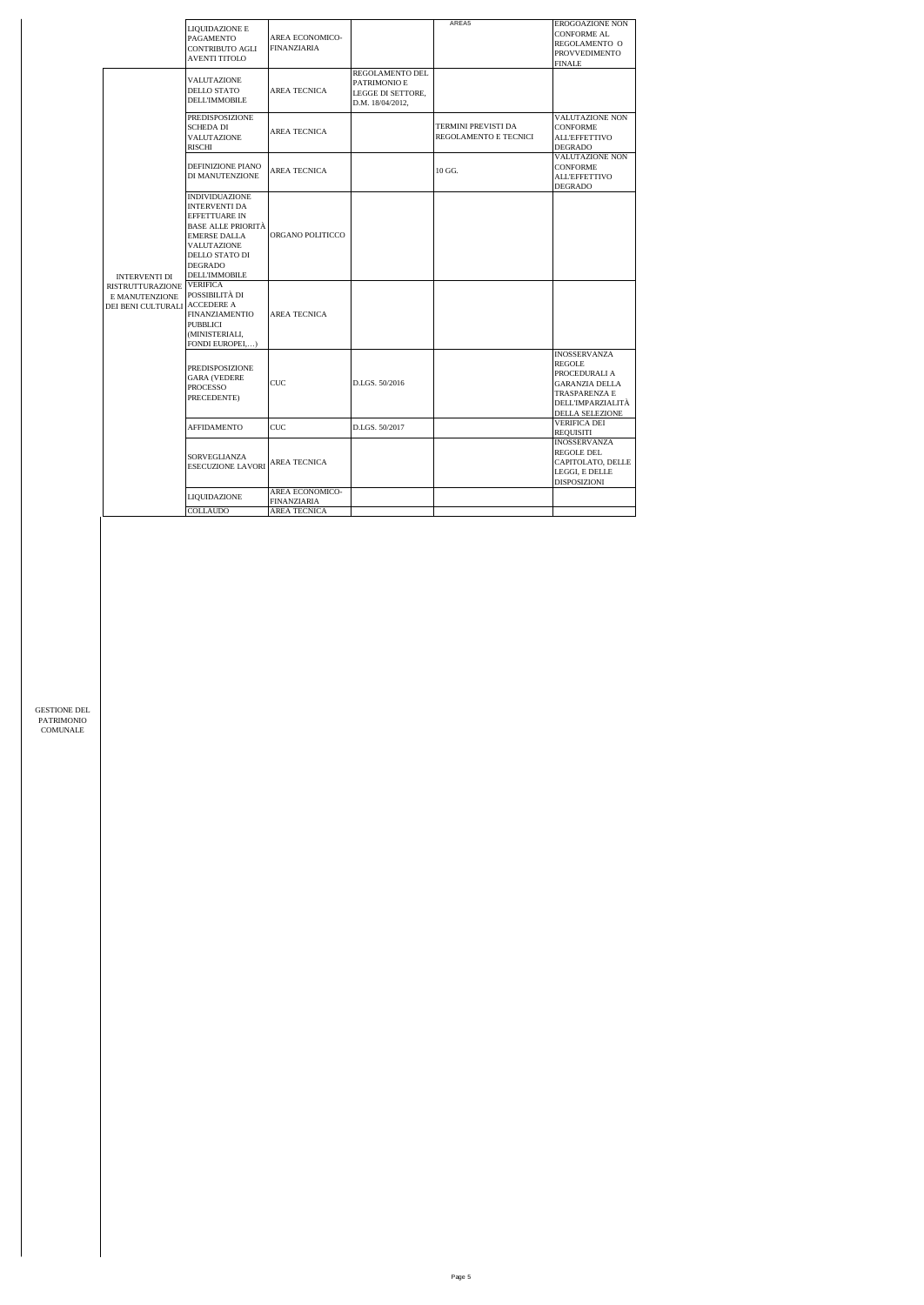|                                                                 | LIQUIDAZIONE E<br><b>PAGAMENTO</b><br>CONTRIBUTO AGLI<br><b>AVENTI TITOLO</b>                                                                                                                 | AREA ECONOMICO-<br><b>FINANZIARIA</b>                 |                                                                          | AREA5                                        | EROGOAZIONE NON<br><b>CONFORME AL</b><br>REGOLAMENTO O<br><b>PROVVEDIMENTO</b><br><b>FINALE</b>                                                       |
|-----------------------------------------------------------------|-----------------------------------------------------------------------------------------------------------------------------------------------------------------------------------------------|-------------------------------------------------------|--------------------------------------------------------------------------|----------------------------------------------|-------------------------------------------------------------------------------------------------------------------------------------------------------|
|                                                                 | VALUTAZIONE<br>DELLO STATO<br><b>DELL'IMMOBILE</b>                                                                                                                                            | AREA TECNICA                                          | REGOLAMENTO DEL<br>PATRIMONIO E<br>LEGGE DI SETTORE.<br>D.M. 18/04/2012, |                                              |                                                                                                                                                       |
|                                                                 | PREDISPOSIZIONE<br><b>SCHEDA DI</b><br>VALUTAZIONE<br><b>RISCHI</b>                                                                                                                           | AREA TECNICA                                          |                                                                          | TERMINI PREVISTI DA<br>REGOLAMENTO E TECNICI | VALUTAZIONE NON<br>CONFORME<br><b>ALL'EFFETTIVO</b><br>DEGRADO                                                                                        |
|                                                                 | DEFINIZIONE PIANO<br>DI MANUTENZIONE                                                                                                                                                          | AREA TECNICA                                          |                                                                          | 10 GG.                                       | VALUTAZIONE NON<br><b>CONFORME</b><br><b>ALL'EFFETTIVO</b><br><b>DEGRADO</b>                                                                          |
| <b>INTERVENTI DI</b>                                            | <b>INDIVIDUAZIONE</b><br><b>INTERVENTI DA</b><br>EFFETTUARE IN<br><b>BASE ALLE PRIORITÀ</b><br><b>EMERSE DALLA</b><br>VALUTAZIONE<br>DELLO STATO DI<br><b>DEGRADO</b><br><b>DELL'IMMOBILE</b> | ORGANO POLITICCO                                      |                                                                          |                                              |                                                                                                                                                       |
| <b>RISTRUTTURAZIONE</b><br>E MANUTENZIONE<br>DEI BENI CULTURALI | <b>VERIFICA</b><br>POSSIBILITÀ DI<br><b>ACCEDERE A</b><br><b>FINANZIAMENTIO</b><br><b>PUBBLICI</b><br>(MINISTERIALI,<br>FONDI EUROPEI)                                                        | <b>AREA TECNICA</b>                                   |                                                                          |                                              |                                                                                                                                                       |
|                                                                 | <b>PREDISPOSIZIONE</b><br><b>GARA (VEDERE</b><br><b>PROCESSO</b><br>PRECEDENTE)                                                                                                               | CUC                                                   | D.LGS, 50/2016                                                           |                                              | <b>INOSSERVANZA</b><br><b>REGOLE</b><br>PROCEDURALI A<br><b>GARANZIA DELLA</b><br><b>TRASPARENZA E</b><br>DELL'IMPARZIALITÀ<br><b>DELLA SELEZIONE</b> |
|                                                                 | <b>AFFIDAMENTO</b>                                                                                                                                                                            | CUC                                                   | D.LGS, 50/2017                                                           |                                              | <b>VERIFICA DEI</b><br>REQUISITI                                                                                                                      |
|                                                                 | SORVEGLIANZA<br><b>ESECUZIONE LAVORI</b>                                                                                                                                                      | AREA TECNICA                                          |                                                                          |                                              | <b>INOSSERVANZA</b><br>REGOLE DEL<br>CAPITOLATO, DELLE<br>LEGGI, E DELLE<br>DISPOSIZIONI                                                              |
|                                                                 | LIQUIDAZIONE<br>COLLAUDO                                                                                                                                                                      | AREA ECONOMICO-<br>FINANZIARIA<br><b>AREA TECNICA</b> |                                                                          |                                              |                                                                                                                                                       |
|                                                                 |                                                                                                                                                                                               |                                                       |                                                                          |                                              |                                                                                                                                                       |

GESTIONE DEL PATRIMONIO COMUNALE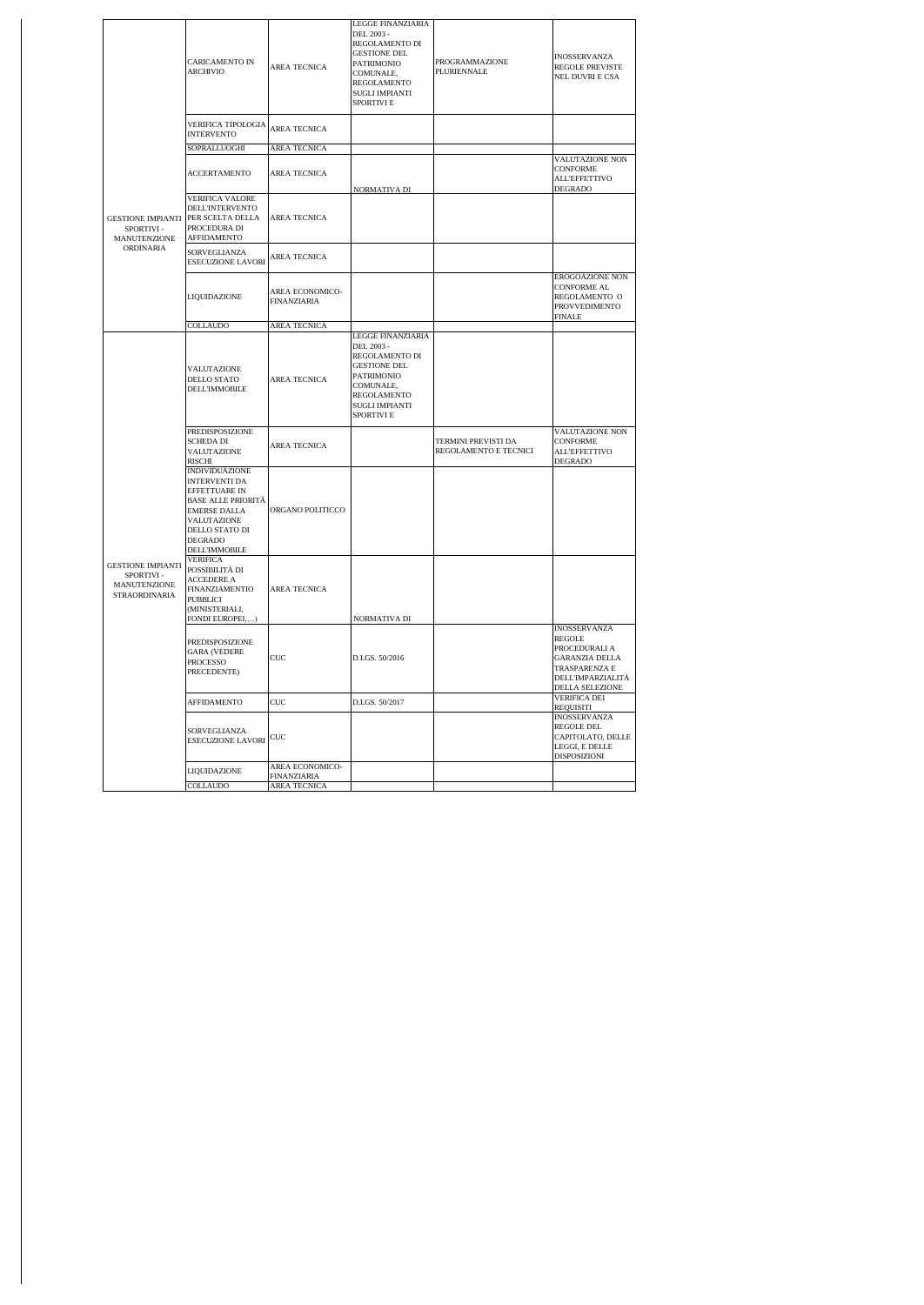|  |                                                                        | <b>CARICAMENTO IN</b><br><b>ARCHIVIO</b>                                                                                                                                        | AREA TECNICA                   | LEGGE FINANZIARIA<br>DEL 2003 -<br>REGOLAMENTO DI<br><b>GESTIONE DEL</b><br>PATRIMONIO<br>COMUNALE,<br>REGOLAMENTO<br><b>SUGLI IMPIANTI</b><br>SPORTIVI E | PROGRAMMAZIONE<br>PLURIENNALE                | <b>INOSSERVANZA</b><br><b>REGOLE PREVISTE</b><br>NEL DUVRI E CSA                                                                        |
|--|------------------------------------------------------------------------|---------------------------------------------------------------------------------------------------------------------------------------------------------------------------------|--------------------------------|-----------------------------------------------------------------------------------------------------------------------------------------------------------|----------------------------------------------|-----------------------------------------------------------------------------------------------------------------------------------------|
|  |                                                                        | <b>VERIFICA TIPOLOGIA</b><br><b>INTERVENTO</b>                                                                                                                                  | AREA TECNICA                   |                                                                                                                                                           |                                              |                                                                                                                                         |
|  |                                                                        | SOPRALLUOGHI                                                                                                                                                                    | AREA TECNICA                   |                                                                                                                                                           |                                              |                                                                                                                                         |
|  |                                                                        | <b>ACCERTAMENTO</b>                                                                                                                                                             | AREA TECNICA                   | NORMATIVA DI                                                                                                                                              |                                              | VALUTAZIONE NON<br><b>CONFORME</b><br><b>ALL'EFFETTIVO</b><br><b>DEGRADO</b>                                                            |
|  | <b>GESTIONE IMPIANTI</b><br>SPORTIVI-<br>MANUTENZIONE                  | VERIFICA VALORE<br>DELL'INTERVENTO<br>PER SCELTA DELLA<br>PROCEDURA DI<br>AFFIDAMENTO                                                                                           | AREA TECNICA                   |                                                                                                                                                           |                                              |                                                                                                                                         |
|  | ORDINARIA                                                              | SORVEGLIANZA<br>ESECUZIONE LAVORI                                                                                                                                               | AREA TECNICA                   |                                                                                                                                                           |                                              |                                                                                                                                         |
|  |                                                                        | LIQUIDAZIONE                                                                                                                                                                    | AREA ECONOMICO-<br>FINANZIARIA |                                                                                                                                                           |                                              | EROGOAZIONE NON<br><b>CONFORME AL</b><br>REGOLAMENTO O<br>PROVVEDIMENTO<br>FINALE                                                       |
|  |                                                                        | <b>COLLAUDO</b>                                                                                                                                                                 | <b>AREA TECNICA</b>            |                                                                                                                                                           |                                              |                                                                                                                                         |
|  | <b>GESTIONE IMPIANTI</b><br>SPORTIVI-<br>MANUTENZIONE<br>STRAORDINARIA | VALUTAZIONE<br>DELLO STATO<br><b>DELL'IMMOBILE</b>                                                                                                                              | AREA TECNICA                   | LEGGE FINANZIARIA<br>DEL 2003 -<br>REGOLAMENTO DI<br><b>GESTIONE DEL</b><br>PATRIMONIO<br>COMUNALE,<br>REGOLAMENTO<br><b>SUGLI IMPIANTI</b><br>SPORTIVI E |                                              |                                                                                                                                         |
|  |                                                                        | PREDISPOSIZIONE<br><b>SCHEDA DI</b><br>VALUTAZIONE<br><b>RISCHI</b>                                                                                                             | AREA TECNICA                   |                                                                                                                                                           | TERMINI PREVISTI DA<br>REGOLAMENTO E TECNICI | VALUTAZIONE NON<br>CONFORME<br><b>ALL'EFFETTIVO</b><br>DEGRADO                                                                          |
|  |                                                                        | <b>INDIVIDUAZIONE</b><br><b>INTERVENTI DA</b><br>EFFETTUARE IN<br><b>BASE ALLE PRIORITÀ</b><br><b>EMERSE DALLA</b><br>VALUTAZIONE<br>DELLO STATO DI<br>DEGRADO<br>DELL'IMMOBILE | ORGANO POLITICCO               |                                                                                                                                                           |                                              |                                                                                                                                         |
|  |                                                                        | <b>VERIFICA</b><br>POSSIBILITÀ DI<br>ACCEDERE A<br><b>FINANZIAMENTIO</b><br><b>PUBBLICI</b><br>(MINISTERIALI,<br>FONDI EUROPEI,                                                 | AREA TECNICA                   | NORMATIVA DI                                                                                                                                              |                                              |                                                                                                                                         |
|  |                                                                        | PREDISPOSIZIONE<br><b>GARA (VEDERE</b><br>PROCESSO<br>PRECEDENTE)                                                                                                               | CUC                            | D.LGS, 50/2016                                                                                                                                            |                                              | <b>INOSSERVANZA</b><br><b>REGOLE</b><br>PROCEDURALI A<br><b>GARANZIA DELLA</b><br>TRASPARENZA E<br>DELL'IMPARZIALITÀ<br>DELLA SELEZIONE |
|  |                                                                        | AFFIDAMENTO                                                                                                                                                                     | CUC                            | D.LGS. 50/2017                                                                                                                                            |                                              | VERIFICA DEI<br>REQUISITI                                                                                                               |
|  |                                                                        | SORVEGLIANZA<br>ESECUZIONE LAVORI                                                                                                                                               | ${\rm CUC}$                    |                                                                                                                                                           |                                              | <b>INOSSERVANZA</b><br>REGOLE DEL<br>CAPITOLATO, DELLE<br>LEGGI, E DELLE<br>DISPOSIZIONI                                                |
|  |                                                                        | LIQUIDAZIONE                                                                                                                                                                    | AREA ECONOMICO-<br>FINANZIARIA |                                                                                                                                                           |                                              |                                                                                                                                         |
|  |                                                                        | COLLAUDO                                                                                                                                                                        | AREA TECNICA                   |                                                                                                                                                           |                                              |                                                                                                                                         |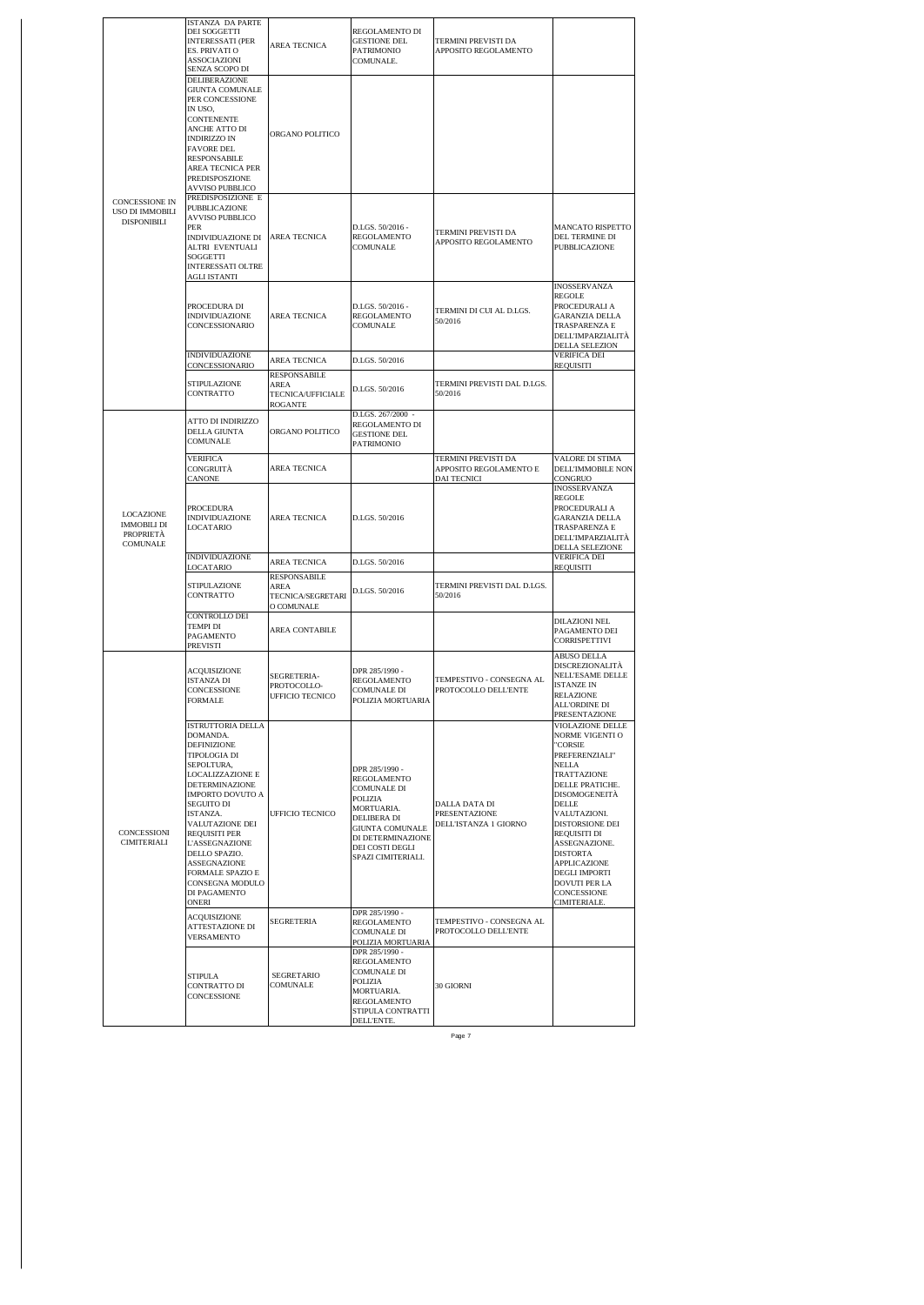|  |                                                                 | <b>ISTANZA DA PARTE</b><br>DEI SOGGETTI<br><b>INTERESSATI (PER</b><br>ES. PRIVATI O<br>ASSOCIAZIONI<br>SENZA SCOPO DI                                                                                                                                                                                                                                                                            | AREA TECNICA                                                   | REGOLAMENTO DI<br><b>GESTIONE DEL</b><br>PATRIMONIO<br>COMUNALE.                                                                                                                           | TERMINI PREVISTI DA<br>APPOSITO REGOLAMENTO                         |                                                                                                                                                                                                                                                                                                                                           |
|--|-----------------------------------------------------------------|--------------------------------------------------------------------------------------------------------------------------------------------------------------------------------------------------------------------------------------------------------------------------------------------------------------------------------------------------------------------------------------------------|----------------------------------------------------------------|--------------------------------------------------------------------------------------------------------------------------------------------------------------------------------------------|---------------------------------------------------------------------|-------------------------------------------------------------------------------------------------------------------------------------------------------------------------------------------------------------------------------------------------------------------------------------------------------------------------------------------|
|  | <b>CONCESSIONE IN</b><br>USO DI IMMOBILI<br><b>DISPONIBILI</b>  | DELIBERAZIONE<br><b>GIUNTA COMUNALE</b><br>PER CONCESSIONE<br>IN USO,<br>CONTENENTE<br>ANCHE ATTO DI<br><b>INDIRIZZO IN</b><br><b>FAVORE DEL</b><br>RESPONSABILE<br>AREA TECNICA PER<br><b>PREDISPOSZIONE</b><br>AVVISO PUBBLICO<br>PREDISPOSIZIONE E<br>PUBBLICAZIONE<br>AVVISO PUBBLICO<br>PER<br>INDIVIDUAZIONE DI<br>ALTRI EVENTUALI<br>SOGGETTI<br><b>INTERESSATI OLTRE</b><br>AGLI ISTANTI | ORGANO POLITICO<br>AREA TECNICA                                | D.LGS. 50/2016 -<br>REGOLAMENTO<br>COMUNALE                                                                                                                                                | TERMINI PREVISTI DA<br>APPOSITO REGOLAMENTO                         | <b>MANCATO RISPETTO</b><br>DEL TERMINE DI<br>PUBBLICAZIONE                                                                                                                                                                                                                                                                                |
|  |                                                                 | PROCEDURA DI<br>INDIVIDUAZIONE<br>CONCESSIONARIO                                                                                                                                                                                                                                                                                                                                                 | AREA TECNICA                                                   | D.LGS. 50/2016 -<br>REGOLAMENTO<br>COMUNALE                                                                                                                                                | TERMINI DI CUI AL D.LGS.<br>50/2016                                 | INOSSERVANZA<br><b>REGOLE</b><br>PROCEDURALI A<br><b>GARANZIA DELLA</b><br>TRASPARENZA E<br>DELL'IMPARZIALITÀ<br>DELLA SELEZION                                                                                                                                                                                                           |
|  |                                                                 | INDIVIDUAZIONE                                                                                                                                                                                                                                                                                                                                                                                   | AREA TECNICA                                                   | D.LGS. 50/2016                                                                                                                                                                             |                                                                     | <b>VERIFICA DEI</b>                                                                                                                                                                                                                                                                                                                       |
|  |                                                                 | CONCESSIONARIO<br><b>STIPULAZIONE</b><br>CONTRATTO                                                                                                                                                                                                                                                                                                                                               | <b>RESPONSABILE</b><br>AREA<br>TECNICA/UFFICIALE               | D.LGS. 50/2016                                                                                                                                                                             | TERMINI PREVISTI DAL D.LGS.<br>50/2016                              | REQUISITI                                                                                                                                                                                                                                                                                                                                 |
|  |                                                                 | ATTO DI INDIRIZZO<br><b>DELLA GIUNTA</b><br><b>COMUNALE</b>                                                                                                                                                                                                                                                                                                                                      | ROGANTE<br>ORGANO POLITICO                                     | D.LGS. 267/2000 -<br>REGOLAMENTO DI<br><b>GESTIONE DEL</b><br>PATRIMONIO                                                                                                                   |                                                                     |                                                                                                                                                                                                                                                                                                                                           |
|  |                                                                 | <b>VERIFICA</b><br>CONGRUITÀ<br>CANONE                                                                                                                                                                                                                                                                                                                                                           | AREA TECNICA                                                   |                                                                                                                                                                                            | TERMINI PREVISTI DA<br>APPOSITO REGOLAMENTO E<br><b>DAI TECNICI</b> | VALORE DI STIMA<br><b>DELL'IMMOBILE NON</b><br>CONGRUO<br><b>INOSSERVANZA</b>                                                                                                                                                                                                                                                             |
|  | LOCAZIONE<br><b>IMMOBILI DI</b><br>PROPRIETÀ<br><b>COMUNALE</b> | PROCEDURA<br><b>INDIVIDUAZIONE</b><br>LOCATARIO                                                                                                                                                                                                                                                                                                                                                  | AREA TECNICA                                                   | D.LGS. 50/2016                                                                                                                                                                             |                                                                     | REGOLE<br>PROCEDURALI A<br><b>GARANZIA DELLA</b><br>TRASPARENZA E<br>DELL'IMPARZIALITA<br>DELLA SELEZIONE                                                                                                                                                                                                                                 |
|  |                                                                 | <b>INDIVIDUAZIONE</b><br>LOCATARIO                                                                                                                                                                                                                                                                                                                                                               | AREA TECNICA                                                   | D.LGS. 50/2016                                                                                                                                                                             |                                                                     | <b>VERIFICA DEI</b><br><b>REQUISITI</b>                                                                                                                                                                                                                                                                                                   |
|  |                                                                 | STIPULAZIONE<br>CONTRATTO                                                                                                                                                                                                                                                                                                                                                                        | <b>RESPONSABILE</b><br>AREA<br>TECNICA/SEGRETARI<br>O COMUNALE | D.LGS. 50/2016                                                                                                                                                                             | TERMINI PREVISTI DAL D.LGS.<br>50/2016                              |                                                                                                                                                                                                                                                                                                                                           |
|  |                                                                 | CONTROLLO DEI<br><b>TEMPI DI</b><br>PAGAMENTO<br>PREVISTI                                                                                                                                                                                                                                                                                                                                        | AREA CONTABILE                                                 |                                                                                                                                                                                            |                                                                     | DILAZIONI NEL<br>PAGAMENTO DEI<br><b>CORRISPETTIVI</b>                                                                                                                                                                                                                                                                                    |
|  |                                                                 | ACQUISIZIONE<br><b>ISTANZA DI</b><br>CONCESSIONE<br>FORMALE                                                                                                                                                                                                                                                                                                                                      | SEGRETERIA-<br>PROTOCOLLO-<br>UFFICIO TECNICO                  | DPR 285/1990 -<br><b>REGOLAMENTO</b><br>COMUNALE DI<br>POLIZIA MORTUARIA                                                                                                                   | TEMPESTIVO - CONSEGNA AL<br>PROTOCOLLO DELL'ENTE                    | ABUSO DELLA<br>DISCREZIONALITÀ<br>NELL'ESAME DELLE<br><b>ISTANZE IN</b><br><b>RELAZIONE</b><br>ALL'ORDINE DI<br>PRESENTAZIONE                                                                                                                                                                                                             |
|  | CONCESSIONI<br>CIMITERIALI                                      | ISTRUTTORIA DELLA<br>DOMANDA.<br><b>DEFINIZIONE</b><br>TIPOLOGIA DI<br>SEPOLTURA,<br>LOCALIZZAZIONE E<br>DETERMINAZIONE<br><b>IMPORTO DOVUTO A</b><br>SEGUITO DI<br>ISTANZA.<br>VALUTAZIONE DEI<br><b>REOUISITI PER</b><br><b>L'ASSEGNAZIONE</b><br>DELLO SPAZIO.<br><b>ASSEGNAZIONE</b><br><b>FORMALE SPAZIO E</b><br>CONSEGNA MODULO<br>DI PAGAMENTO<br><b>ONERI</b>                           | <b>UFFICIO TECNICO</b>                                         | DPR 285/1990 -<br><b>REGOLAMENTO</b><br><b>COMUNALE DI</b><br>POLIZIA<br>MORTUARIA.<br>DELIBERA DI<br><b>GIUNTA COMUNALE</b><br>DI DETERMINAZIONE<br>DEI COSTI DEGLI<br>SPAZI CIMITERIALI. | DALLA DATA DI<br>PRESENTAZIONE<br>DELL'ISTANZA 1 GIORNO             | VIOLAZIONE DELLE<br><b>NORME VIGENTI O</b><br>"CORSIE<br>PREFERENZIALI"<br>NELLA<br>TRATTAZIONE<br>DELLE PRATICHE.<br>DISOMOGENEITÀ<br>DELLE<br>VALUTAZIONI.<br>DISTORSIONE DEI<br>REQUISITI DI<br>ASSEGNAZIONE.<br><b>DISTORTA</b><br><b>APPLICAZIONE</b><br><b>DEGLI IMPORTI</b><br><b>DOVUTI PER LA</b><br>CONCESSIONE<br>CIMITERIALE. |
|  |                                                                 | ACQUISIZIONE<br>ATTESTAZIONE DI<br>VERSAMENTO                                                                                                                                                                                                                                                                                                                                                    | SEGRETERIA                                                     | DPR 285/1990 -<br>REGOLAMENTO<br><b>COMUNALE DI</b><br>POLIZIA MORTUARIA                                                                                                                   | TEMPESTIVO - CONSEGNA AL<br>PROTOCOLLO DELL'ENTE                    |                                                                                                                                                                                                                                                                                                                                           |
|  |                                                                 | <b>STIPULA</b><br>CONTRATTO DI<br>CONCESSIONE                                                                                                                                                                                                                                                                                                                                                    | <b>SEGRETARIO</b><br>COMUNALE                                  | DPR 285/1990 -<br>REGOLAMENTO<br>COMUNALE DI<br>POLIZIA<br>MORTUARIA.<br>REGOLAMENTO<br>STIPULA CONTRATTI<br>DELL'ENTE.                                                                    | 30 GIORNI                                                           |                                                                                                                                                                                                                                                                                                                                           |

Page 7